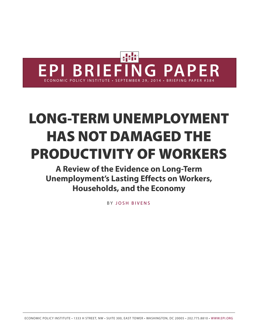

# **LONG-TERM UNEMPLOYMENT HAS NOT DAMAGED THE PRODUCTIVITY OF WORKERS**

**A Review of the Evidence on Long-Term Unemployment's Lasting Effects on Workers, Households, and the Economy**

B Y [JOSH BIVENS](http://www.epi.org/people/josh-bivens/)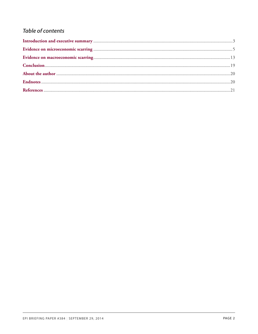## **Table of contents**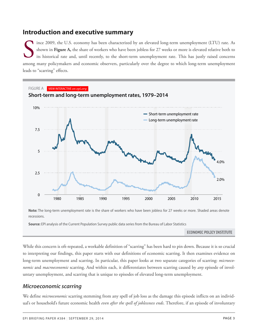## <span id="page-2-0"></span>**Introduction and executive summary**

Shown in Figure A, the share of workers who have been jobless for 27 weeks or more is elevated relative both to its historical rate and, until recently, to the short-term unemployment rate. This has justly raised concerns ince 2009, the U.S. economy has been characterized by an elevated long-term unemployment (LTU) rate. As shown in **Figure A,** the share of workers who have been jobless for 27 weeks or more is elevated relative both to its historical rate and, until recently, to the short-term unemployment rate. This has justly raised concerns leads to "scarring" effects.



**Note:** The long-term unemployment rate is the share of workers who have been jobless for 27 weeks or more. Shaded areas denote recessions.

**Source:** EPI analysis of the Current Population Survey public data series from the Bureau of Labor Statistics **ource:** EPI analysis of the Current Populat

ECONOMIC POLICY INSTITUTE

While this concern is oft-repeated, a workable definition of "scarring" has been hard to pin down. Because it is so crucial *1979/ 12/01* 5.4% 0.5% to interpreting our findings, this paper starts with our definitions of economic scarring. It then examines evidence on long-term unemployment and scarring. In particular, this paper looks at two separate categories of scarring: *microeco-01/01* 5.7% 0.5% *nomic* and *macroeconomic* scarring. And within each, it differentiates between scarring caused by any episode of involuntary unemployment, and scarring that is unique to episodes of elevated long-term unemployment. *1980/*

# *Microeconomic scarring 1980/*

*1980/*

We define *microeconomic* scarring stemming from any spell of job loss as the damage this episode inflicts on an individual's or household's future economic health *even after the spell of joblessness ends*. Therefore, if an episode of involuntary *04/01* 6.3% 0.6%

*11/01* 5.3% 0.5%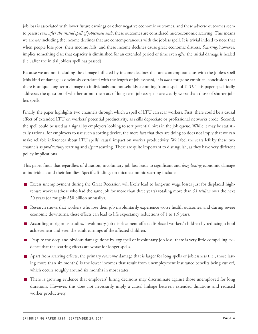job loss is associated with lower future earnings or other negative economic outcomes, and these adverse outcomes seem to persist *even after the initial spell of joblessness ends*, these outcomes are considered microeconomic scarring. This means we are *not* including the income declines that are contemporaneous with the jobless spell. It is trivial indeed to note that when people lose jobs, their income falls, and these income declines cause great economic distress. *Scarring,* however, implies something else: that capacity is diminished for an extended period of time even *after* the initial damage is healed (i.e., after the initial jobless spell has passed).

Because we are not including the damage inflicted by income declines that are contemporaneous with the jobless spell (this kind of damage is obviously correlated with the length of joblessness), it is *not* a foregone empirical conclusion that there is unique long-term damage to individuals and households stemming from a spell of LTU. This paper specifically addresses the question of whether or not the scars of long-term jobless spells are clearly worse than those of shorter jobless spells.

Finally, the paper highlights two channels through which a spell of LTU can scar workers. First, there could be a causal effect of extended LTU on workers' potential productivity, as skills depreciate or professional networks erode. Second, the spell could be used as a signal by employers looking to sort potential hires in the job queue. While it may be statistically rational for employers to use such a sorting device, the mere fact that they are doing so does not imply that we can make reliable inferences about LTU spells' causal impact on worker productivity. We label the scars left by these two channels as *productivity* scarring and *signal* scarring. These are quite important to distinguish, as they have very different policy implications.

This paper finds that regardless of duration, involuntary job loss leads to significant and *long-lasting* economic damage to individuals and their families. Specific findings on microeconomic scarring include:

- Excess unemployment during the Great Recession will likely lead to long-run wage losses just for displaced hightenure workers (those who had the same job for more than three years) totaling more than *\$1 trillion* over the next 20 years (or roughly \$50 billion annually).
- Research shows that workers who lose their job involuntarily experience worse health outcomes, and during severe economic downturns, these effects can lead to life expectancy reductions of 1 to 1.5 years.
- According to rigorous studies, involuntary job displacement affects displaced workers' children by reducing school achievement and even the adult earnings of the affected children.
- Despite the deep and obvious damage done by *any* spell of involuntary job loss, there is very little compelling evidence that the scarring effects are worse for longer spells.
- Apart from scarring effects, the primary *economic* damage that is larger for long spells of joblessness (i.e., those lasting more than six months) is the lower incomes that result from unemployment insurance benefits being cut off, which occurs roughly around six months in most states.
- There is growing evidence that employers' hiring decisions may discriminate against those unemployed for long durations. However, this does not necessarily imply a causal linkage between extended durations and reduced worker productivity.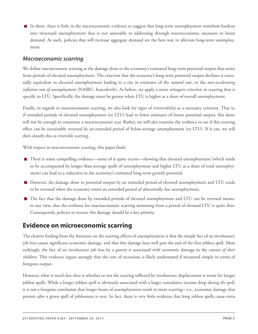In short, there is little in the microeconomic evidence to suggest that long-term unemployment somehow hardens into structural unemployment that is not amenable to addressing through macroeconomic measures to boost demand. As such, policies that will increase aggregate demand are the best way to alleviate long-term unemployment.

#### *Macroeconomic scarring*

We define *macroeconomic* scarring as the damage done to the economy's estimated long-term potential output that stems from periods of elevated unemployment. The criterion that the economy's long-term potential output declines is essentially equivalent to elevated unemployment leading to a rise in estimates of the *natural rate*, or the *non-accelerating inflation rate of unemployment* (NAIRU, henceforth). As before, we apply a more stringent criterion to scarring that is specific to LTU. Specifically, the damage must be greater when LTU is higher as a share of overall unemployment.

Finally, in regards to macroeconomic scarring, we also look for signs of *irreversibility* as a necessary criterion. That is, if extended periods of elevated unemployment (or LTU) lead to lower estimates of future potential output, this alone will not be enough to constitute a macroeconomic scar. Rather, we will also examine the evidence to see if this scarring effect can be sustainably reversed by an extended period of below-average unemployment (or LTU). If it can, we will then classify this as *reversible scarring*.

With respect to macroeconomic scarring, this paper finds:

- There is some compelling evidence—some of it quite recent—showing that elevated unemployment (which tends to be accompanied by longer-than-average spells of unemployment and higher LTU as a share of total unemployment) can lead to a reduction in the economy's estimated long-term growth potential.
- However, the damage done to potential output by an extended period of elevated unemployment and LTU tends to be reversed when the economy enters an extended period of abnormally *low* unemployment.
- The fact that the damage done by extended periods of elevated unemployment and LTU can be reversed means, in our view, that the evidence for macroeconomic scarring stemming from a period of elevated LTU is quite thin. Consequently, policies to reverse this damage should be a key priority.

# <span id="page-4-0"></span>**Evidence on microeconomic scarring**

The clearest finding from the literature on the scarring effects of unemployment is that the simple fact of an involuntary job loss causes significant economic damage, and that this damage lasts well past the end of the first jobless spell. Most strikingly, the fact of an involuntary job loss by a parent is associated with economic damage to the careers *of their children*. This evidence argues strongly that the cost of recessions is likely understated if measured simply in terms of foregone output.

However, what is much less clear is whether or not the scarring inflicted by involuntary displacement is worse for longer jobless spells. While a longer jobless spell is obviously associated with a larger cumulative income drop *during the spell*, it is not a foregone conclusion that longer bouts of unemployment result in more scarring—i.e., economic damage that persists *after* a given spell of joblessness is over. In fact, there is very little evidence that long jobless spells cause extra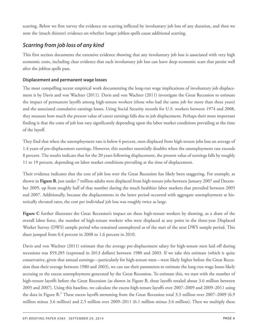scarring. Below we first survey the evidence on scarring inflicted by involuntary job loss of any duration, and then we note the (much thinner) evidence on whether longer jobless spells cause additional scarring.

## *Scarring from job loss of any kind*

This first section documents the extensive evidence showing that any involuntary job loss is associated with very high economic costs, including clear evidence that such involuntary job loss can leave deep economic scars that persist well after the jobless spells pass.

#### **Displacement and permanent wage losses**

The most compelling recent empirical work documenting the long-run wage implications of involuntary job displacement is by Davis and von Wachter (2011). Davis and von Wachter (2011) investigate the Great Recession to estimate the impact of permanent layoffs among high-tenure workers (those who had the same job for more than three years) and the associated cumulative earnings losses. Using Social Security records for U.S. workers between 1974 and 2008, they measure how much the present value of career earnings falls due to job displacement. Perhaps their most important finding is that the costs of job loss vary significantly depending upon the labor market conditions prevailing at the time of the layoff.

They find that when the unemployment rate is below 6 percent, men displaced from high-tenure jobs lose an average of 1.4 years of pre-displacement earnings. However, this number essentially doubles when the unemployment rate exceeds 8 percent. The results indicate that for the 20 years following displacement, the present value of earnings falls by roughly 11 to 19 percent, depending on labor market conditions prevailing at the time of displacement.

Their evidence indicates that the cost of job loss over the Great Recession has likely been staggering. For example, as shown in **Figure B**, just under 7 million adults were displaced from high-tenure jobs between January 2007 and December 2009, up from roughly half of that number during the much healthier labor markets that prevailed between 2005 and 2007. Additionally, because the displacements in the latter period occurred with aggregate unemployment at historically elevated rates, the cost per individual job loss was roughly twice as large.

**Figure C** further illustrates the Great Recession's impact on these high-tenure workers by showing, as a share of the overall labor force, the number of high-tenure workers who were displaced at any point in the three-year Displaced Worker Survey (DWS) sample period who remained unemployed as of the start of the next DWS sample period. This share jumped from 0.4 percent in 2008 to 1.6 percent in 2010.

<span id="page-5-0"></span>Davis and von Wachter (2011) estimate that the average pre-displacement salary for high-tenure men laid off during recessions was \$59,285 (expressed in 2013 dollars) between 1980 and 2003. If we take this estimate (which is quite conservative, given that annual earnings—particularly for high-tenure men—were likely higher before the Great Recession than their average between 1980 and 2003), we can use their parameters to estimate the long-run wage losses likely accruing to the excess unemployment generated by the Great Recession. To estimate this, we start with the number of high-tenure layoffs before the Great Recession (as shown in Figure B, these layoffs totaled about 3.6 million between 2005 and 2007). Using this baseline, we calculate the excess high-tenure layoffs over 2007–2009 and 2009–2011 using the data in Figure B.**[1](#page-19-2)** These excess layoffs stemming from the Great Recession total 3.3 million over 2007–2009 (6.9 million minus 3.6 million) and 2.5 million over 2009–2011 (6.1 million minus 3.6 million). Then we multiply these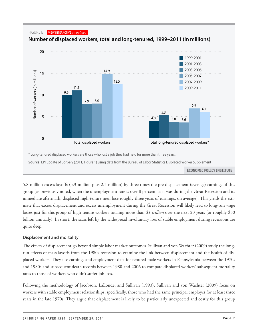

5.8 million excess layoffs (3.3 million plus 2.5 million) by three times the pre-displacement (average) earnings of this group (as previously noted, when the unemployment rate is over 8 percent, as it was during the Great Recession and its immediate aftermath, displaced high-tenure men lose roughly three years of earnings, on average). This yields the estimate that excess displacement and excess unemployment during the Great Recession will likely lead to long-run wage losses just for this group of high-tenure workers totaling more than *\$1 trillion* over the next 20 years (or roughly \$50 billion annually). In short, the scars left by the widespread involuntary loss of stable employment during recessions are quite deep.

#### **Displacement and mortality**

The effects of displacement go beyond simple labor market outcomes. Sullivan and von Wachter (2009) study the longrun effects of mass layoffs from the 1980s recession to examine the link between displacement and the health of displaced workers. They use earnings and employment data for tenured male workers in Pennsylvania between the 1970s and 1980s and subsequent death records between 1980 and 2006 to compare displaced workers' subsequent mortality rates to those of workers who didn't suffer job loss.

Following the methodology of Jacobson, LaLonde, and Sullivan (1993), Sullivan and von Wachter (2009) focus on workers with stable employment relationships; specifically, those who had the same principal employer for at least three years in the late 1970s. They argue that displacement is likely to be particularly unexpected and costly for this group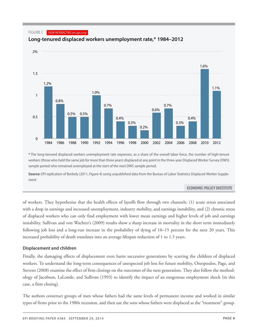



**Long-tenured displaced workers unemployment rate,\* 1984–2012**

**\*** The long-tenured displaced workers unemployment rate expresses, as a share of the overall labor force, the number of high-tenure *2008* 0.4% workers(thosewho held the same job for more than three years) displaced at any point in the three-year Displaced Worker Survey (DWS) *2010* 1.6% sample period who remained unemployed at the start of the next DWS sample period.<br>

**Source:** EPI replication of Borbely (2011, Figure 4) using unpublished data from the Bureau of Labor Statistics Displaced Worker Supplement

#### ECONOMIC POLICY INSTITUTE

of workers. They hypothesize that the health effects of layoffs flow through two channels: (1) acute stress associated with a drop in earnings and increased unemployment, industry mobility, and earnings instability, and (2) chronic stress of displaced workers who can only find employment with lower mean earnings and higher levels of job and earnings instability. Sullivan and von Wachter's (2009) results show a sharp increase in mortality in the short term immediately following job loss and a long-run increase in the probability of dying of 10–15 percent for the next 20 years. This increased probability of death translates into an average lifespan reduction of 1 to 1.5 years.

#### **Displacement and children**

Finally, the damaging effects of displacement even harm successive generations by scarring the children of displaced workers. To understand the long-term consequences of unexpected job loss for future mobility, Oreopoulos, Page, and Stevens (2008) examine the effect of firm closings on the outcomes of the next generation. They also follow the methodology of Jacobson, LaLonde, and Sullivan (1993) to identify the impact of an exogenous employment shock (in this case, a firm closing).

The authors construct groups of men whose fathers had the same levels of permanent income and worked in similar types of firms prior to the 1980s recession, and then use the sons whose fathers were displaced as the "treatment" group.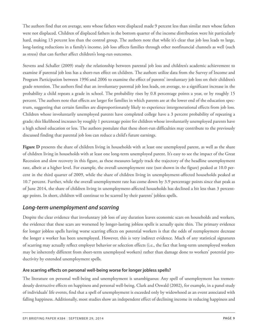The authors find that on average, sons whose fathers were displaced made 9 percent less than similar men whose fathers were not displaced. Children of displaced fathers in the bottom quarter of the income distribution were hit particularly hard, making 13 percent less than the control group. The authors note that while it's clear that job loss leads to large, long-lasting reductions in a family's income, job loss affects families through other nonfinancial channels as well (such as stress) that can further affect children's long-run outcomes.

Stevens and Schaller (2009) study the relationship between parental job loss and children's academic achievement to examine if parental job loss has a short-run effect on children. The authors utilize data from the Survey of Income and Program Participation between 1996 and 2006 to examine the effect of parents' involuntary job loss on their children's grade retention. The authors find that an involuntary parental job loss leads, on average, to a significant increase in the probability a child repeats a grade in school. The probability rises by 0.8 percentage points a year, or by roughly 15 percent. The authors note that effects are larger for families in which parents are at the lower end of the education spectrum, suggesting that certain families are disproportionately likely to experience intergenerational effects from job loss. Children whose involuntarily unemployed parents have completed college have a 3 percent probability of repeating a grade; this likelihood increases by roughly 1 percentage point for children whose involuntarily unemployed parents have a high school education or less. The authors postulate that these short-run difficulties may contribute to the previously discussed finding that parental job loss can reduce a child's future earnings.

**Figure D** presents the share of children living in households with at least one unemployed parent, as well as the share of children living in households with at least one long-term unemployed parent. It's easy to see the impact of the Great Recession and slow recovery in this figure, as these measures largely track the trajectory of the headline unemployment rate, albeit at a higher level. For example, the overall unemployment rate (not shown in the figure) peaked at 10.0 percent in the third quarter of 2009, while the share of children living in unemployment-affected households peaked at 10.7 percent. Further, while the overall unemployment rate has come down by 3.9 percentage points since that peak as of June 2014, the share of children living in unemployment-affected households has declined a bit less than 3 percentage points. In short, children will continue to be scarred by their parents' jobless spells.

## *Long-term unemployment and scarring*

Despite the clear evidence that involuntary job loss of any duration leaves economic scars on households and workers, the evidence that these scars are worsened by longer-lasting jobless spells is actually quite thin. The primary evidence for longer jobless spells having worse scarring effects on potential workers is that the odds of reemployment decrease the longer a worker has been unemployed. However, this is very indirect evidence. Much of any statistical signatures of scarring may actually reflect employer behavior or selection effects (i.e., the fact that long-term unemployed workers may be inherently different from short-term unemployed workers) rather than damage done to workers' potential productivity by extended unemployment spells.

#### **Are scarring effects on personal well-being worse for longer jobless spells?**

The literature on personal well-being and unemployment is unambiguous: Any spell of unemployment has tremendously destructive effects on happiness and personal well-being. Clark and Oswald (2002), for example, in a panel study of individuals' life events, find that a spell of unemployment is exceeded only by widowhood as an event associated with falling happiness. Additionally, most studies show an independent effect of declining income in reducing happiness and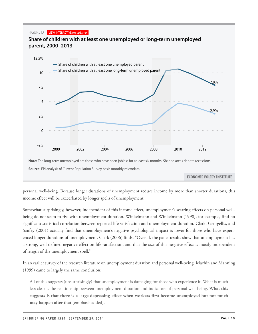#### FIGURE D VIEW INTERACTIVE *on epi.org*



**Share of children with at least one unemployed or long-term unemployed**

personal well-being. Because longer durations of unemployment reduce income by more than shorter durations, this *2013* 7.8% 2.9% income effect will be exacerbated by longer spells of unemployment.

Somewhat surprisingly, however, independent of this income effect, unemployment's scarring effects on personal wellbeing do not seem to rise with unemployment duration. Winkelmann and Winkelmann (1998), for example, find no significant statistical correlation between reported life satisfaction and unemployment duration. Clark, Georgellis, and Sanfey (2001) actually find that unemployment's negative psychological impact is lower for those who have experienced longer durations of unemployment. Clark (2006) finds, "Overall, the panel results show that unemployment has a strong, well-defined negative effect on life-satisfaction, and that the size of this negative effect is mostly independent of length of the unemployment spell."

In an earlier survey of the research literature on unemployment duration and personal well-being, Machin and Manning (1999) came to largely the same conclusion:

All of this suggests (unsurprisingly) that unemployment is damaging for those who experience it. What is much less clear is the relationship between unemployment duration and indicators of personal well-being. **What this suggests is that there is a large depressing effect when workers first become unemployed but not much may happen after that** [emphasis added].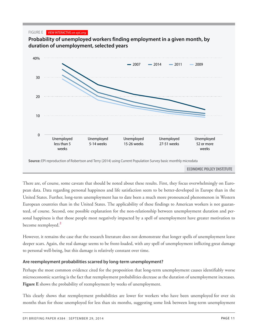FIGURE E VIEW INTERACTIVE *on epi.org*





There are, of course, some caveats that should be noted about these results. First, they focus overwhelmingly on European data. Data regarding personal happiness and life satisfaction seem to be better-developed in Europe than in the United States. Further, long-term unemployment has to date been a much more pronounced phenomenon in Western European countries than in the United States. The applicability of these findings to American workers is not guaranteed, of course. Second, one possible explanation for the non-relationship between unemployment duration and personal happiness is that those people most negatively impacted by a spell of unemployment have greater motivation to become reemployed.**[2](#page-19-3)**

<span id="page-10-0"></span>However, it remains the case that the research literature does not demonstrate that longer spells of unemployment leave deeper scars. Again, the real damage seems to be front-loaded, with any spell of unemployment inflicting great damage to personal well-being, but this damage is relatively constant over time.

#### **Are reemployment probabilities scarred by long-term unemployment?**

Perhaps the most common evidence cited for the proposition that long-term unemployment causes identifiably worse microeconomic scarring is the fact that reemployment probabilities decrease as the duration of unemployment increases. Figure E shows the probability of reemployment by weeks of unemployment.

This clearly shows that reemployment probabilities are lower for workers who have been unemployed for over six months than for those unemployed for less than six months, suggesting some link between long-term unemployment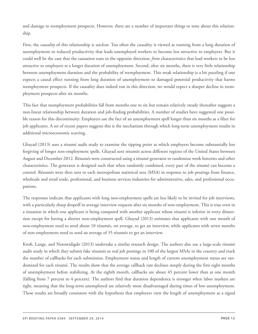and damage to reemployment prospects. However, there are a number of important things to note about this relationship.

First, the *causality* of this relationship is unclear. Too often the causality is viewed as running from a long duration of unemployment to reduced productivity that leads unemployed workers to become less attractive to employers. But it could well be the case that the causation runs in the opposite direction: *from* characteristics that lead workers to be less attractive to employers *to* a longer duration of unemployment. Second, after six months, there is very little relationship between unemployment duration and the probability of reemployment. This weak relationship is a bit puzzling if one expects a causal effect running from long duration of unemployment to damaged potential productivity that harms reemployment prospects. If the causality does indeed run in this direction, we would expect a sharper decline in reemployment prospects after six months.

This fact that reemployment probabilities fall from months one to six but remain relatively steady thereafter suggests a non-linear relationship between duration and job-finding probabilities. A number of studies have suggested one possible reason for this discontinuity: Employers use the fact of an unemployment spell longer than six months as a filter for job applicants. A set of recent papers suggests this is the mechanism through which long-term unemployment results in additional microeconomic scarring.

Ghayad (2013) uses a résumé audit study to examine the tipping point at which employers become substantially less forgiving of longer non-employment spells. Ghayad sent résumés across different regions of the United States between August and December 2012. Résumés were constructed using a résumé generator to randomize work histories and other characteristics. The generator is designed such that when randomly combined, every part of the résumé can become a control. Résumés were then sent to each metropolitan statistical area (MSA) in response to job postings from finance, wholesale and retail trade, professional, and business services industries for administrative, sales, and professional occupations.

The responses indicate that applicants with long non-employment spells are less likely to be invited for job interviews, with a particularly sharp dropoff in average interview requests after six months of non-employment. This is true even in a situation in which one applicant is being compared with another applicant whose résumé is inferior in every dimension except for having a shorter non-employment spell. Ghayad (2013) estimates that applicants with one month of non-employment need to send about 10 résumés, on average, to get an interview, while applicants with seven months of non-employment need to send an average of 35 résumés to get an interview.

Kroft, Lange, and Notowidigdo (2013) undertake a similar research design. The authors also use a large-scale résumé audit study in which they submit fake résumés to real job postings in 100 of the largest MSAs in the country and track the number of callbacks for each submission. Employment status and length of current unemployment status are randomized for each résumé. The results show that the average callback rate declines steeply during the first eight months of unemployment before stabilizing. At the eighth month, callbacks are about 45 percent lower than at one month (falling from 7 percent to 4 percent). The authors find that duration dependence is stronger when labor markets are tight, meaning that the long-term unemployed are relatively more disadvantaged during times of low unemployment. These results are broadly consistent with the hypothesis that employers view the length of unemployment as a signal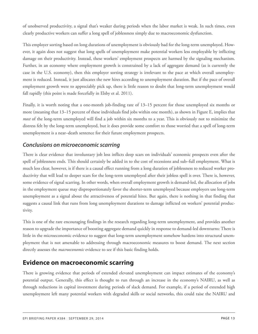of unobserved productivity, a signal that's weaker during periods when the labor market is weak. In such times, even clearly productive workers can suffer a long spell of joblessness simply due to macroeconomic dysfunction.

This employer sorting based on long durations of unemployment is obviously bad for the long-term unemployed. However, it again does not suggest that long spells of unemployment make potential workers less employable by inflicting damage on their productivity. Instead, these workers' employment prospects are harmed by the signaling mechanism. Further, in an economy where employment growth is constrained by a lack of aggregate demand (as is currently the case in the U.S. economy), then this employer sorting strategy is irrelevant to the pace at which overall unemployment is reduced. Instead, it just allocates the new hires according to unemployment duration. But if the pace of overall employment growth were to appreciably pick up, there is little reason to doubt that long-term unemployment would fall rapidly (this point is made forcefully in Elsby et al. 2011).

Finally, it is worth noting that a one-month job-finding rate of 13–15 percent for those unemployed six months or more (meaning that 13–15 percent of these individuals find jobs within one month), as shown in Figure E, implies that *most* of the long-term unemployed will find a job within six months to a year. This is obviously not to minimize the distress felt by the long-term unemployed, but it does provide some comfort to those worried that a spell of long-term unemployment is a near–death sentence for their future employment prospects.

## *Conclusions on microeconomic scarring*

There is clear evidence that involuntary job loss inflicts deep scars on individuals' economic prospects even after the spell of joblessness ends. This should certainly be added in to the cost of recessions and sub–full employment. What is much less clear, however, is if there is a causal effect running from a long duration of joblessness to reduced worker productivity that will lead to deeper scars for the long-term unemployed after their jobless spell is over. There is, however, some evidence of signal scarring. In other words, when overall employment growth is demand-led, the allocation of jobs in the employment queue may disproportionately favor the shorter-term unemployed because employers use long-term unemployment as a signal about the attractiveness of potential hires. But again, there is nothing in that finding that suggests a causal link that runs from long unemployment durations to damage inflicted on workers' potential productivity.

This is one of the rare encouraging findings in the research regarding long-term unemployment, and provides another reason to upgrade the importance of boosting aggregate demand quickly in response to demand-led downturns: There is little in the microeconomic evidence to suggest that long-term unemployment somehow hardens into structural unemployment that is not amenable to addressing through macroeconomic measures to boost demand. The next section directly assesses the *macroeconomic* evidence to see if this basic finding holds.

# <span id="page-12-0"></span>**Evidence on macroeconomic scarring**

There is growing evidence that periods of extended elevated unemployment can impact estimates of the economy's potential output. Generally, this effect is thought to run through an increase in the economy's NAIRU, as well as through reductions in capital investment during periods of slack demand. For example, if a period of extended high unemployment left many potential workers with degraded skills or social networks, this could raise the NAIRU and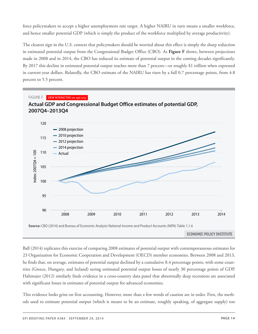force policymakers to accept a higher unemployment rate target. A higher NAIRU in turn means a smaller workforce, and hence smaller potential GDP (which is simply the product of the workforce multiplied by average productivity).

The clearest sign in the U.S. context that policymakers should be worried about this effect is simply the sharp reduction in estimated potential output from the Congressional Budget Office (CBO). As **Figure F** shows, between projections made in 2008 and in 2014, the CBO has reduced its estimate of potential output in the coming decades significantly. By 2017 this decline in estimated potential output reaches more than 7 percent—or roughly \$1 trillion when expressed in current-year dollars. Relatedly, the CBO estimate of the NAIRU has risen by a full 0.7 percentage points, from 4.8 percent to 5.5 percent.



Ball (2014) replicates this exercise of comparing 2008 estimates of potential output with contemporaneous estimates for 23 Organization for Economic Cooperation and Development (OECD) member economies. Between 2008 and 2013, he finds that, on average, estimates of potential output declined by a cumulative 8.4 percentage points, with some countries (Greece, Hungary, and Ireland) seeing estimated potential output losses of nearly 30 percentage points of GDP.<br> Haltmaier (2012) similarly finds evidence in a cross-country data panel that abnormally deep recessions are associated *2012Q3* 113.2422 109.6419 108.7691 108.1056 103.5872 with significant losses in estimates of potential output for advanced economies.

This evidence looks grim on first accounting. However, more than a few words of caution are in order. First, the methods used to estimate potential output (which is meant to be an estimate, roughly speaking, of aggregate supply) too

*2012Q4* 113.9772 110.2635 109.2632 108.5511 103.6247

*2013Q3* 116.1837 112.2623 110.8286 109.9142 105.6235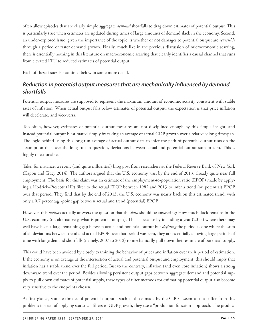often allow episodes that are clearly simple aggregate *demand* shortfalls to drag down estimates of potential output. This is particularly true when estimates are updated during times of large amounts of demand slack in the economy. Second, an under-explored issue, given the importance of the topic, is whether or not damages to potential output are *reversible* through a period of faster demand growth. Finally, much like in the previous discussion of microeconomic scarring, there is essentially nothing in this literature on macroeconomic scarring that cleanly identifies a causal channel that runs from elevated LTU to reduced estimates of potential output.

Each of these issues is examined below in some more detail.

## *Reduction in potential output measures that are mechanically influenced by demand shortfalls*

Potential output measures are supposed to represent the maximum amount of economic activity consistent with stable rates of inflation. When actual output falls below estimates of potential output, the expectation is that price inflation will decelerate, and vice-versa.

Too often, however, estimates of potential output measures are not disciplined enough by this simple insight, and instead potential output is estimated simply by taking an average of actual GDP growth over a relatively long timespan. The logic behind using this long-run average of actual output data to infer the path of potential output rests on the assumption that over the long run in question, deviations between actual and potential output sum to zero. This is highly questionable.

Take, for instance, a recent (and quite influential) blog post from researchers at the Federal Reserve Bank of New York (Kapon and Tracy 2014). The authors argued that the U.S. economy was, by the end of 2013, already quite near full employment. The basis for this claim was an estimate of the employment-to-population ratio (EPOP) made by applying a Hodrick–Prescott (HP) filter to the actual EPOP between 1982 and 2013 to infer a trend (or, potential) EPOP over that period. They find that by the end of 2013, the U.S. economy was nearly back on this estimated trend, with only a 0.7 percentage-point gap between actual and trend (potential) EPOP.

However, this *method* actually answers the question that the *data* should be answering: How much slack remains in the U.S. economy (or, alternatively, what is potential output). This is because by including a year (2013) where there may well have been a large remaining gap between actual and potential output but *defining* the period as one where the sum of all deviations between trend and actual EPOP over that period was zero, they are essentially allowing large periods of time with large demand shortfalls (namely, 2007 to 2012) to mechanically pull down their estimate of potential supply.

This could have been avoided by closely examining the behavior of prices and inflation over their period of estimation. If the economy is on average at the intersection of actual and potential output and employment, this should imply that inflation has a stable trend over the full period. But to the contrary, inflation (and even core inflation) shows a strong downward trend over the period. Besides allowing persistent output gaps between aggregate demand and potential supply to pull down estimates of potential supply, these types of filter methods for estimating potential output also become very sensitive to the endpoints chosen.

At first glance, some estimates of potential output—such as those made by the CBO—seem to not suffer from this problem; instead of applying statistical filters to GDP growth, they use a "production function" approach. The produc-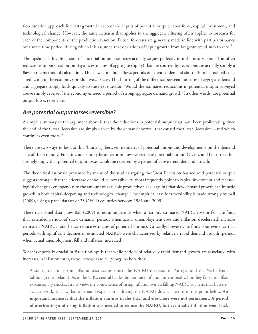tion function approach forecasts growth in each of the inputs of potential output: labor force, capital investment, and technological change. However, the same criticism that applies to the aggregate filtering often applies to forecasts for each of the components of the production function: Future forecasts are generally made in line with past performance over some time period, during which it is assumed that deviations of input growth from long-run trend sum to zero. **[3](#page-19-4)**

<span id="page-15-0"></span>The upshot of this discussion of potential output estimates actually segues perfectly into the next section: Too often reductions in potential output (again, estimates of aggregate supply) that are spurred by recessions are actually simply a flaw in the method of calculation. This flawed method allows periods of extended demand shortfalls to be reclassified as a reduction in the economy's productive capacity. This blurring of the difference between measures of aggregate demand and aggregate supply leads quickly to the next question: Would the estimated reductions in potential output surveyed above simply reverse if the economy entered a period of strong aggregate demand growth? In other words, are potential output losses reversible?

## *Are potential output losses reversible?*

<span id="page-15-1"></span>A simple summary of the argument above is that the reductions in potential output that have been proliferating since the end of the Great Recession are simply driven by the demand shortfall that caused the Great Recession—and which continues even today. **[4](#page-20-1)**

There are two ways to look at this "blurring" between estimates of potential output and developments on the demand side of the economy. First, it could simply be an error in how we estimate potential output. Or, it could be correct, but strongly imply that potential output losses would be reversed by a period of above-trend demand growth.

The theoretical rationale presented by many of the studies arguing the Great Recession has reduced potential output suggests strongly that the effects are or should be reversible. Authors frequently point to capital investment and technological change as endogenous to the amount of available productive slack, arguing that slow demand growth can impede growth in both capital-deepening and technological change. The empirical case for reversibility is made strongly by Ball (2009), using a panel dataset of 23 OECD countries between 1985 and 2009.

These rich panel data allow Ball (2009) to examine periods when a nation's estimated NAIRU rose or fell. He finds that extended periods of slack demand (periods when actual unemployment rose and inflation decelerated) increase estimated NAIRUs (and hence reduce estimates of potential output). Crucially, however, he finds clear evidence that periods with significant declines in estimated NAIRUs were characterized by relatively rapid demand growth (periods when actual unemployment fell and inflation increased).

What is especially crucial in Ball's findings is that while periods of relatively rapid demand growth are associated with increases in inflation rates, these increases are *temporary.* As he writes:

A substantial run-up in inflation also accompanied the NAIRU decreases in Portugal and the Netherlands (although not Ireland). As in the U.K., central banks did not raise inflation intentionally, but they failed to offset expansionary shocks. In my view, the coincidence of rising inflation with a falling NAIRU suggests that hysteresis is at work, that is, that a demand expansion is driving the NAIRU down. I return to this point below. **An important nuance is that the inflation run-ups in the U.K. and elsewhere were not permanent. A period of overheating and rising inflation was needed to reduce the NAIRU, but eventually inflation went back**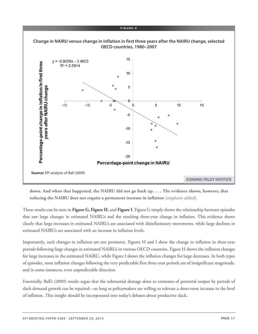

down. And when that happened, the NAIRU did not go back up.... The evidence shows, however, that **reducing the NAIRU does not require a permanent increase in inflation** [emphasis added].

These results can be seen in **Figure G, Figure H,** and **Figure I**. Figure G simply shows the relationship between episodes that saw large changes in estimated NAIRUs and the resulting three-year change in inflation. This evidence shows clearly that large increases in estimated NAIRUs are associated with disinflationary movements, while large declines in estimated NAIRUs are associated with an increase in inflation levels.

Importantly, such changes in inflation are not persistent. Figures H and I show the change in inflation in three-year periods following large changes in estimated NAIRUs in various OECD countries. Figure H shows the inflation changes for large increases in the estimated NAIRU, while Figure I shows the inflation changes for large decreases. In both types of episodes, most inflation changes following the very predictable first three-year periods are of insignificant magnitude, and in some instances, even unpredictable direction.

Essentially, Ball's (2009) results argue that the substantial damage done to estimates of potential output by periods of slack demand growth can be repaired—so long as policymakers are willing to tolerate a short-term increase in the level of inflation. This insight should be incorporated into today's debates about productive slack.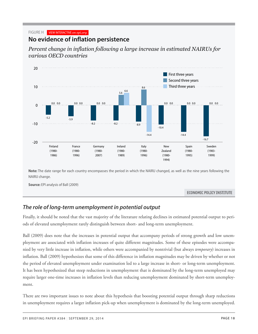#### FIGURE H VIEW INTERACTIVE *on epi.org*

## **No evidence of inflation persistence**

*Percent change in inflation following a large increase in estimated NAIRUs for various OECD countries*



**Note:** The date range for each country encompasses the period in which the NAIRU changed, as well as the nine years following the NAIRU change.

**Source:** EPI analysis of Ball (2009)

ECONOMIC POLICY INSTITUTE

## *The role of long-term unemployment in potential output*

Finally, it should be noted that the vast majority of the literature relating declines in estimated potential output to periods of elevated unemployment rarely distinguish between short- and long-term unemployment.

Ball (2009) does note that the increases in potential output that accompany periods of strong growth and low unemployment are associated with inflation increases of quite different magnitudes. Some of these episodes were accompanied by very little increase in inflation, while others were accompanied by nontrivial (but always *temporary*) increases in inflation. Ball (2009) hypothesizes that some of this difference in inflation magnitudes may be driven by whether or not the period of elevated unemployment under examination led to a large increase in short- or long-term unemployment. It has been hypothesized that steep reductions in unemployment that is dominated by the long-term unemployed may require larger one-time increases in inflation levels than reducing unemployment dominated by short-term unemployment.

There are two important issues to note about this hypothesis that boosting potential output through sharp reductions in unemployment requires a larger inflation pick-up when unemployment is dominated by the long-term unemployed.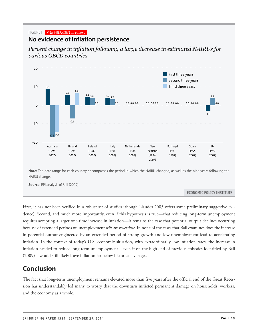#### FIGURE I VIEW INTERACTIVE *on epi.org*

## **No evidence of inflation persistence**

*Percent change in inflation following a large decrease in estimated NAIRUs for various OECD countries*



**Note:** The date range for each country encompasses the period in which the NAIRU changed, as well as the nine years following the **NAIRU change.** 

**Source:** EPI analysis of Ball (2009)

#### ECONOMIC POLICY INSTITUTE

First, it has not been verified in a robust set of studies (though Llaudes 2005 offers some preliminary suggestive evidence). Second, and much more importantly, even if this hypothesis is true—that reducing long-term unemployment requires accepting a larger one-time increase in inflation—it remains the case that potential output declines occurring because of extended periods of unemployment *still are reversible*. In none of the cases that Ball examines does the increase in potential output engineered by an extended period of strong growth and low unemployment lead to accelerating inflation. In the context of today's U.S. economic situation, with extraordinarily low inflation rates, the increase in inflation needed to reduce long-term unemployment—even if on the high end of previous episodes identified by Ball (2009)—would still likely leave inflation far below historical averages.

# <span id="page-18-0"></span>**Conclusion**

The fact that long-term unemployment remains elevated more than five years after the official end of the Great Recession has understandably led many to worry that the downturn inflicted permanent damage on households, workers, and the economy as a whole.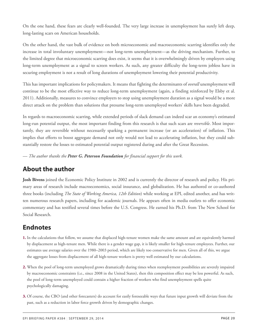On the one hand, these fears are clearly well-founded. The very large increase in unemployment has surely left deep, long-lasting scars on American households.

On the other hand, the vast bulk of evidence on both microeconomic and macroeconomic scarring identifies only the increase in total involuntary unemployment—not long-term unemployment—as the driving mechanism. Further, to the limited degree that microeconomic scarring does exist, it seems that it is overwhelmingly driven by employers using long-term unemployment as a signal to screen workers. As such, any greater difficulty the long-term jobless have in securing employment is not a result of long durations of unemployment lowering their potential productivity.

This has important implications for policymakers. It means that fighting the determinants of *overall* unemployment will continue to be the most effective way to reduce long-term unemployment (again, a finding reinforced by Elsby et al. 2011). Additionally, measures to convince employers to stop using unemployment duration as a signal would be a more direct attack on the problem than solutions that presume long-term unemployed workers' skills have been degraded.

In regards to macroeconomic scarring, while extended periods of slack demand can indeed scar an economy's estimated long-run potential output, the most important finding from this research is that such scars are *reversible*. Most importantly, they are reversible without necessarily sparking a permanent increase (or an acceleration) of inflation. This implies that efforts to boost aggregate demand not only would not lead to accelerating inflation, but they could substantially restore the losses to estimated potential output registered during and after the Great Recession.

— *The author thanks the Peter G. Peterson Foundation for financial support for this work.*

# <span id="page-19-0"></span>**About the author**

**Josh Bivens** joined the Economic Policy Institute in 2002 and is currently the director of research and policy. His primary areas of research include macroeconomics, social insurance, and globalization. He has authored or co-authored three books (including *The State of Working America, 12th Edition*) while working at EPI, edited another, and has written numerous research papers, including for academic journals. He appears often in media outlets to offer economic commentary and has testified several times before the U.S. Congress. He earned his Ph.D. from The New School for Social Research.

# <span id="page-19-1"></span>**Endnotes**

- <span id="page-19-2"></span>**[1.](#page-5-0)** In the calculations that follow, we assume that displaced high-tenure women make the same amount and are equivalently harmed by displacement as high-tenure men. While there is a gender wage gap, it is likely smaller for high-tenure employees. Further, our estimates use average salaries over the 1980–2003 period, which are likely too conservative for men. Given all of this, we argue the aggregate losses from displacement of all high-tenure workers is pretty well estimated by our calculations.
- <span id="page-19-3"></span>**[2.](#page-10-0)** When the pool of long-term unemployed grows dramatically during times when reemployment possibilities are severely impaired by macroeconomic constraints (i.e., since 2008 in the United States), then this composition effect may be less powerful. As such, the pool of long-term unemployed could contain a higher fraction of workers who find unemployment spells quite psychologically damaging.
- <span id="page-19-4"></span>**[3.](#page-15-0)** Of course, the CBO (and other forecasters) do account for easily foreseeable ways that future input growth will deviate from the past, such as a reduction in labor force growth driven by demographic changes.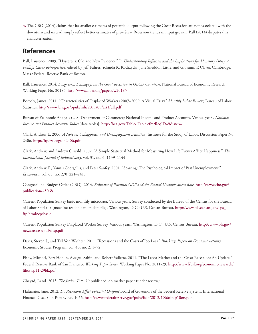<span id="page-20-1"></span>**[4.](#page-15-1)** The CBO (2014) claims that its smaller estimates of potential output following the Great Recession are not associated with the downturn and instead simply reflect better estimates of pre–Great Recession trends in input growth. Ball (2014) disputes this characterization.

## <span id="page-20-0"></span>**References**

Ball, Laurence. 2009. "Hysteresis: Old and New Evidence." In *Understanding Inflation and the Implications for Monetary Policy: A Phillips Curve Retrospective,* edited by Jeff Fuhrer, Yolanda K. Kodrzycki, Jane Sneddon Little, and Giovanni P. Olivei. Cambridge, Mass.: Federal Reserve Bank of Boston.

Ball, Laurence. 2014. *Long-Term Damage from the Great Recession in OECD Countries*. National Bureau of Economic Research, Working Paper No. 20185. <http://www.nber.org/papers/w20185>

Borbely, James. 2011. "Characteristics of Displaced Workers 2007–2009: A Visual Essay." *Monthly Labor Review,* Bureau of Labor Statistics. <http://www.bls.gov/opub/mlr/2011/09/art1full.pdf>

Bureau of Economic Analysis (U.S. Department of Commerce) National Income and Product Accounts. Various years. *National Income and Product Accounts Tables* [data tables]. <http://bea.gov/iTable/iTable.cfm?ReqID=9&step=1>

Clark, Andrew E. 2006. *A Note on Unhappiness and Unemployment Duration*. Institute for the Study of Labor, Discussion Paper No. 2406. <http://ftp.iza.org/dp2406.pdf>

Clark, Andrew, and Andrew Oswald. 2002. "A Simple Statistical Method for Measuring How Life Events Affect Happiness." *The International Journal of Epidemiology,* vol. 31, no. 6, 1139–1144.

Clark, Andrew E., Yannis Georgellis, and Peter Sanfey. 2001. "Scarring: The Psychological Impact of Past Unemployment." *Economica,* vol. 68, no. 270, 221–241.

Congressional Budget Office (CBO). 2014. *Estimates of Potential GDP and the Related Unemployment Rate.* [http://www.cbo.gov/](http://www.cbo.gov/publication/45068) [publication/45068](http://www.cbo.gov/publication/45068)

Current Population Survey basic monthly microdata. Various years. Survey conducted by the Bureau of the Census for the Bureau of Labor Statistics [machine-readable microdata file]. Washington, D.C.: U.S. Census Bureau. [http://www.bls.census.gov/cps\\_](http://www.bls.census.gov/cps_ftp.html#cpsbasic) [ftp.html#cpsbasic](http://www.bls.census.gov/cps_ftp.html#cpsbasic)

Current Population Survey Displaced Worker Survey. Various years. Washington, D.C.: U.S. Census Bureau. [http://www.bls.gov/](http://www.bls.gov/news.release/pdf/disp.pdf) [news.release/pdf/disp.pdf](http://www.bls.gov/news.release/pdf/disp.pdf)

Davis, Steven J., and Till Von Wachter. 2011. "Recessions and the Costs of Job Loss." *Brookings Papers on Economic Activity*, Economic Studies Program, vol. 43, no. 2, 1–72.

Elsby, Michael, Bart Hobijn, Aysegul Sahin, and Robert Valletta. 2011. "The Labor Market and the Great Recession: An Update." Federal Reserve Bank of San Francisco *Working Paper Series,* Working Paper No. 2011-29. [http://www.frbsf.org/economic-research/](http://www.frbsf.org/economic-research/files/wp11-29bk.pdf) [files/wp11-29bk.pdf](http://www.frbsf.org/economic-research/files/wp11-29bk.pdf)

Ghayad, Rand. 2013. *The Jobless Trap.* Unpublished job market paper (under review*).*

Haltmaier, Jane. 2012. *Do Recessions Affect Potential Output?* Board of Governors of the Federal Reserve System, International Finance Discussion Papers, No. 1066. <http://www.federalreserve.gov/pubs/ifdp/2012/1066/ifdp1066.pdf>